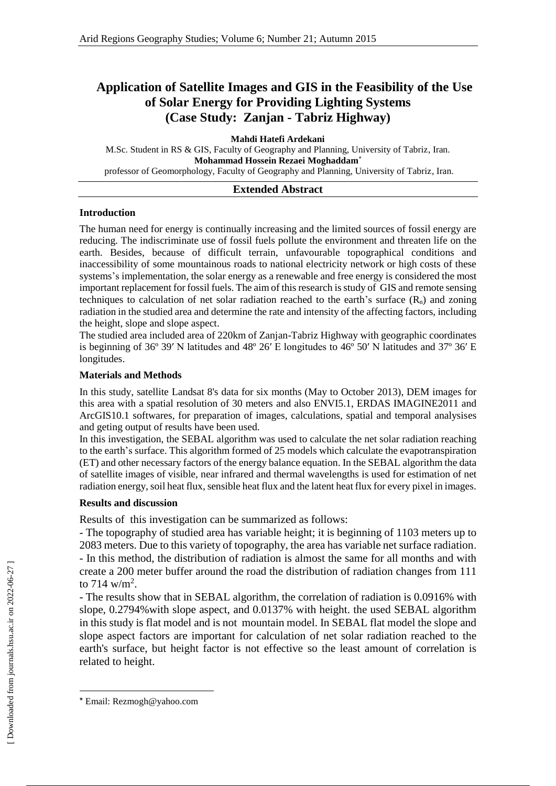# **Application of Satellite Images and GIS in the Feasibility of the Use of Solar Energy for Providing Lighting Systems (Case Study: Zanjan - Tabriz Highway)**

**Mahdi Hatefi Ardekani**

M.Sc. Student in RS & GIS, Faculty of Geography and Planning, University of Tabriz, Iran. **Mohammad Hossein Rezaei Moghaddam\*** professor of Geomorphology, Faculty of Geography and Planning, University of Tabriz, Iran.

#### **Extended Abstract**

#### **Introduction**

The human need for energy is continually increasing and the limited sources of fossil energy are reducing. The indiscriminate use of fossil fuels pollute the environment and threaten life on the earth. Besides, because of difficult terrain, unfavourable topographical conditions and inaccessibility of some mountainous roads to national electricity network or high costs of these systems's implementation, the solar energy as a renewable and free energy is considered the most important replacement for fossil fuels. The aim of this research is study of GIS and remote sensing techniques to calculation of net solar radiation reached to the earth's surface  $(R_n)$  and zoning radiation in the studied area and determine the rate and intensity of the affecting factors, including the height, slope and slope aspect.

The studied area included area of 220km of Zanjan-Tabriz Highway with geographic coordinates is beginning of 36º 39′ N latitudes and 48º 26′ E longitudes to 46º 50′ N latitudes and 37º 36′ E longitudes.

#### **Materials and Methods**

In this study, satellite Landsat 8's data for six months (May to October 2013), DEM images for this area with a spatial resolution of 30 meters and also ENVI5.1, ERDAS IMAGINE2011 and ArcGIS10.1 softwares, for preparation of images, calculations, spatial and temporal analysises and geting output of results have been used.

In this investigation, the SEBAL algorithm was used to calculate the net solar radiation reaching to the earth's surface. This algorithm formed of 25 models which calculate the evapotranspiration (ET) and other necessary factors of the energy balance equation. In the SEBAL algorithm the data of satellite images of visible, near infrared and thermal wavelengths is used for estimation of net radiation energy, soil heat flux, sensible heat flux and the latent heat flux for every pixel in images.

### **Results and discussion**

Results of this investigation can be summarized as follows:

- The topography of studied area has variable height; it is beginning of 1103 meters up to 2083 meters. Due to this variety of topography, the area has variable net surface radiation. - In this method, the distribution of radiation is almost the same for all months and with create a 200 meter buffer around the road the distribution of radiation changes from 111 to 714 w/m<sup>2</sup>.

- The results show that in SEBAL algorithm, the correlation of radiation is 0.0916% with slope, 0.2794%with slope aspect, and 0.0137% with height. the used SEBAL algorithm in this study is flat model and is not mountain model. In SEBAL flat model the slope and slope aspect factors are important for calculation of net solar radiation reached to the earth's surface, but height factor is not effective so the least amount of correlation is related to height.

l

<sup>\*</sup> Email: Rezmogh@yahoo.com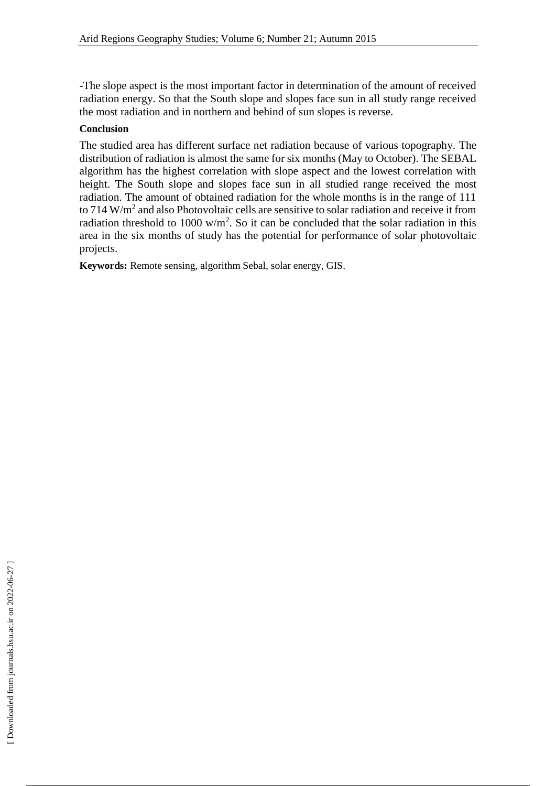-The slope aspect is the most important factor in determination of the amount of received radiation energy. So that the South slope and slopes face sun in all study range received the most radiation and in northern and behind of sun slopes is reverse.

## **Conclusion**

The studied area has different surface net radiation because of various topography. The distribution of radiation is almost the same for six months (May to October). The SEBAL algorithm has the highest correlation with slope aspect and the lowest correlation with height. The South slope and slopes face sun in all studied range received the most radiation. The amount of obtained radiation for the whole months is in the range of 111 to 714  $W/m<sup>2</sup>$  and also Photovoltaic cells are sensitive to solar radiation and receive it from radiation threshold to 1000  $w/m^2$ . So it can be concluded that the solar radiation in this area in the six months of study has the potential for performance of solar photovoltaic projects.

**Keywords:** Remote sensing, algorithm Sebal, solar energy, GIS.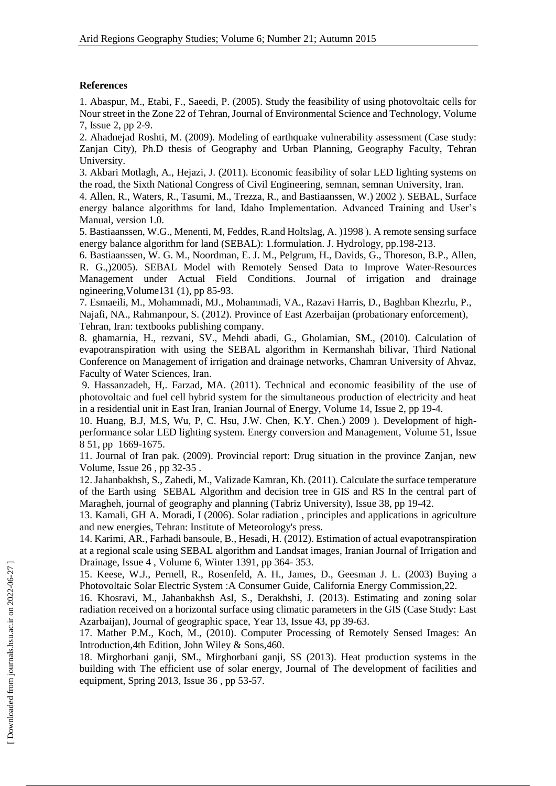#### **References**

1. Abaspur, M., Etabi, F., Saeedi, P. (2005). Study the feasibility of using photovoltaic cells for Nour street in the Zone 22 of Tehran, Journal of Environmental Science and Technology, Volume 7, Issue 2, pp 2-9.

2. Ahadnejad Roshti, M. (2009). Modeling of earthquake vulnerability assessment (Case study: Zanjan City), Ph.D thesis of Geography and Urban Planning, Geography Faculty, Tehran University.

3. Akbari Motlagh, A., Hejazi, J. (2011). Economic feasibility of solar LED lighting systems on the road, the Sixth National Congress of Civil Engineering, semnan, semnan University, Iran.

4. Allen, R., Waters, R., Tasumi, M., Trezza, R., and Bastiaanssen, W.) 2002 ). SEBAL, Surface energy balance algorithms for land, Idaho Implementation. Advanced Training and User's Manual, version 1.0.

5. Bastiaanssen, W.G., Menenti, M. Feddes, R.and Holtslag, A. (1998). A remote sensing surface energy balance algorithm for land (SEBAL): 1.formulation. J. Hydrology, pp.198-213.

6. Bastiaanssen, W. G. M., Noordman, E. J. M., Pelgrum, H., Davids, G., Thoreson, B.P., Allen, R. G., (2005). SEBAL Model with Remotely Sensed Data to Improve Water-Resources Management under Actual Field Conditions. Journal of irrigation and drainage ngineering,Volume131 (1), pp 85-93.

7. Esmaeili, M., Mohammadi, MJ., Mohammadi, VA., Razavi Harris, D., Baghban Khezrlu, P., Najafi, NA., Rahmanpour, S. (2012). Province of East Azerbaijan (probationary enforcement), Tehran, Iran: textbooks publishing company.

8. ghamarnia, H., rezvani, SV., Mehdi abadi, G., Gholamian, SM., (2010). Calculation of evapotranspiration with using the SEBAL algorithm in Kermanshah bilivar, Third National Conference on Management of irrigation and drainage networks, Chamran University of Ahvaz, Faculty of Water Sciences, Iran.

9. Hassanzadeh, H,. Farzad, MA. (2011). Technical and economic feasibility of the use of photovoltaic and fuel cell hybrid system for the simultaneous production of electricity and heat in a residential unit in East Iran, Iranian Journal of Energy, Volume 14, Issue 2, pp 19-4.

10. Huang, B.J, M.S, Wu, P, C. Hsu, J.W. Chen, K.Y. Chen.) 2009 (. Development of highperformance solar LED lighting system. Energy conversion and Management, [Volume 51, Issue](http://www.sciencedirect.com/science/journal/01968904/51/8)  [8](http://www.sciencedirect.com/science/journal/01968904/51/8) 51, pp 1669-1675.

11. Journal of Iran pak. (2009). Provincial report: Drug situation in the province Zanjan, new Volume, Issue 26 , pp 32-35 .

12. Jahanbakhsh, S., Zahedi, M., Valizade Kamran, Kh. (2011). Calculate the surface temperature of the Earth using SEBAL Algorithm and decision tree in GIS and RS In the central part of Maragheh, journal of geography and planning (Tabriz University), Issue 38, pp 19-42.

13. Kamali, GH A. Moradi, I (2006). Solar radiation , principles and applications in agriculture and new energies, Tehran: Institute of Meteorology's press.

14. Karimi, AR., Farhadi bansoule, B., Hesadi, H. (2012). Estimation of actual evapotranspiration at a regional scale using SEBAL algorithm and Landsat images, Iranian Journal of Irrigation and Drainage, Issue 4 , Volume 6, Winter 1391, pp 364- 353.

15. Keese, W.J., Pernell, R., Rosenfeld, A. H., James, D., Geesman J. L. (2003) Buying a Photovoltaic Solar Electric System :A Consumer Guide, California Energy Commission,22.

16. Khosravi, M., Jahanbakhsh Asl, S., Derakhshi, J. (2013). Estimating and zoning solar radiation received on a horizontal surface using climatic parameters in the GIS (Case Study: East Azarbaijan), Journal of geographic space, Year 13, Issue 43, pp 39-63.

17. Mather P.M., Koch, M., (2010). Computer Processing of Remotely Sensed Images: An Introduction,4th Edition, John Wiley & Sons,460.

18. Mirghorbani ganji, SM., Mirghorbani ganji, SS (2013). Heat production systems in the building with The efficient use of solar energy, Journal of The development of facilities and equipment, Spring 2013, Issue 36 , pp 53-57.